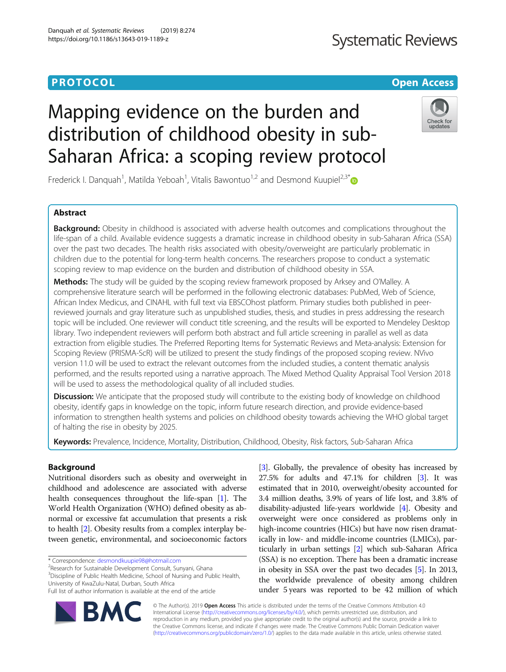# **PROTOCOL CONSUMING THE OPEN ACCESS**

# **Systematic Reviews**

# Mapping evidence on the burden and distribution of childhood obesity in sub-Saharan Africa: a scoping review protocol



Frederick I. Danquah<sup>1</sup>, Matilda Yeboah<sup>1</sup>, Vitalis Bawontuo<sup>1,2</sup> and Desmond Kuupiel<sup>2,3[\\*](http://orcid.org/0000-0001-7780-1955)</sup>

# Abstract

**Background:** Obesity in childhood is associated with adverse health outcomes and complications throughout the life-span of a child. Available evidence suggests a dramatic increase in childhood obesity in sub-Saharan Africa (SSA) over the past two decades. The health risks associated with obesity/overweight are particularly problematic in children due to the potential for long-term health concerns. The researchers propose to conduct a systematic scoping review to map evidence on the burden and distribution of childhood obesity in SSA.

Methods: The study will be quided by the scoping review framework proposed by Arksey and O'Malley. A comprehensive literature search will be performed in the following electronic databases: PubMed, Web of Science, African Index Medicus, and CINAHL with full text via EBSCOhost platform. Primary studies both published in peerreviewed journals and gray literature such as unpublished studies, thesis, and studies in press addressing the research topic will be included. One reviewer will conduct title screening, and the results will be exported to Mendeley Desktop library. Two independent reviewers will perform both abstract and full article screening in parallel as well as data extraction from eligible studies. The Preferred Reporting Items for Systematic Reviews and Meta-analysis: Extension for Scoping Review (PRISMA-ScR) will be utilized to present the study findings of the proposed scoping review. NVivo version 11.0 will be used to extract the relevant outcomes from the included studies, a content thematic analysis performed, and the results reported using a narrative approach. The Mixed Method Quality Appraisal Tool Version 2018 will be used to assess the methodological quality of all included studies.

**Discussion:** We anticipate that the proposed study will contribute to the existing body of knowledge on childhood obesity, identify gaps in knowledge on the topic, inform future research direction, and provide evidence-based information to strengthen health systems and policies on childhood obesity towards achieving the WHO global target of halting the rise in obesity by 2025.

Keywords: Prevalence, Incidence, Mortality, Distribution, Childhood, Obesity, Risk factors, Sub-Saharan Africa

## Background

Nutritional disorders such as obesity and overweight in childhood and adolescence are associated with adverse health consequences throughout the life-span [\[1\]](#page-4-0). The World Health Organization (WHO) defined obesity as abnormal or excessive fat accumulation that presents a risk to health [\[2](#page-4-0)]. Obesity results from a complex interplay between genetic, environmental, and socioeconomic factors

\* Correspondence: [desmondkuupie98@hotmail.com](mailto:desmondkuupie98@hotmail.com) <sup>2</sup>

<sup>2</sup>Research for Sustainable Development Consult, Sunyani, Ghana <sup>3</sup>Discipline of Public Health Medicine, School of Nursing and Public Health, University of KwaZulu-Natal, Durban, South Africa

[[3\]](#page-4-0). Globally, the prevalence of obesity has increased by 27.5% for adults and 47.1% for children [\[3](#page-4-0)]. It was estimated that in 2010, overweight/obesity accounted for 3.4 million deaths, 3.9% of years of life lost, and 3.8% of disability-adjusted life-years worldwide [[4\]](#page-4-0). Obesity and overweight were once considered as problems only in high-income countries (HICs) but have now risen dramatically in low- and middle-income countries (LMICs), particularly in urban settings [\[2](#page-4-0)] which sub-Saharan Africa (SSA) is no exception. There has been a dramatic increase in obesity in SSA over the past two decades [[5\]](#page-4-0). In 2013, the worldwide prevalence of obesity among children under 5 years was reported to be 42 million of which



© The Author(s). 2019 Open Access This article is distributed under the terms of the Creative Commons Attribution 4.0 International License [\(http://creativecommons.org/licenses/by/4.0/](http://creativecommons.org/licenses/by/4.0/)), which permits unrestricted use, distribution, and reproduction in any medium, provided you give appropriate credit to the original author(s) and the source, provide a link to the Creative Commons license, and indicate if changes were made. The Creative Commons Public Domain Dedication waiver [\(http://creativecommons.org/publicdomain/zero/1.0/](http://creativecommons.org/publicdomain/zero/1.0/)) applies to the data made available in this article, unless otherwise stated.

Full list of author information is available at the end of the article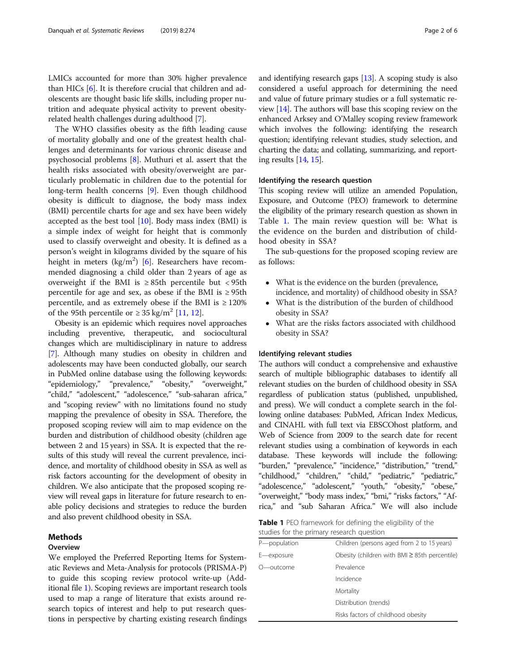LMICs accounted for more than 30% higher prevalence than HICs [[6\]](#page-4-0). It is therefore crucial that children and adolescents are thought basic life skills, including proper nutrition and adequate physical activity to prevent obesityrelated health challenges during adulthood [[7\]](#page-5-0).

The WHO classifies obesity as the fifth leading cause of mortality globally and one of the greatest health challenges and determinants for various chronic disease and psychosocial problems [[8\]](#page-5-0). Muthuri et al. assert that the health risks associated with obesity/overweight are particularly problematic in children due to the potential for long-term health concerns [[9](#page-5-0)]. Even though childhood obesity is difficult to diagnose, the body mass index (BMI) percentile charts for age and sex have been widely accepted as the best tool  $[10]$  $[10]$ . Body mass index (BMI) is a simple index of weight for height that is commonly used to classify overweight and obesity. It is defined as a person's weight in kilograms divided by the square of his height in meters  $(kg/m^2)$  [\[6](#page-4-0)]. Researchers have recommended diagnosing a child older than 2 years of age as overweight if the BMI is  $\geq$  85th percentile but < 95th percentile for age and sex, as obese if the BMI is  $\geq$  95th percentile, and as extremely obese if the BMI is  $\geq 120\%$ of the 95th percentile or  $\geq$  35 kg/m<sup>2</sup> [[11,](#page-5-0) [12\]](#page-5-0).

Obesity is an epidemic which requires novel approaches including preventive, therapeutic, and sociocultural changes which are multidisciplinary in nature to address [[7](#page-5-0)]. Although many studies on obesity in children and adolescents may have been conducted globally, our search in PubMed online database using the following keywords: "epidemiology," "prevalence," "obesity," "overweight," "child," "adolescent," "adolescence," "sub-saharan africa," and "scoping review" with no limitations found no study mapping the prevalence of obesity in SSA. Therefore, the proposed scoping review will aim to map evidence on the burden and distribution of childhood obesity (children age between 2 and 15 years) in SSA. It is expected that the results of this study will reveal the current prevalence, incidence, and mortality of childhood obesity in SSA as well as risk factors accounting for the development of obesity in children. We also anticipate that the proposed scoping review will reveal gaps in literature for future research to enable policy decisions and strategies to reduce the burden and also prevent childhood obesity in SSA.

#### Methods

#### **Overview**

We employed the Preferred Reporting Items for Systematic Reviews and Meta-Analysis for protocols (PRISMA-P) to guide this scoping review protocol write-up (Additional file [1\)](#page-4-0). Scoping reviews are important research tools used to map a range of literature that exists around research topics of interest and help to put research questions in perspective by charting existing research findings and identifying research gaps [\[13\]](#page-5-0). A scoping study is also considered a useful approach for determining the need and value of future primary studies or a full systematic review [\[14](#page-5-0)]. The authors will base this scoping review on the enhanced Arksey and O'Malley scoping review framework which involves the following: identifying the research question; identifying relevant studies, study selection, and charting the data; and collating, summarizing, and reporting results [[14](#page-5-0), [15\]](#page-5-0).

#### Identifying the research question

This scoping review will utilize an amended Population, Exposure, and Outcome (PEO) framework to determine the eligibility of the primary research question as shown in Table 1. The main review question will be: What is the evidence on the burden and distribution of childhood obesity in SSA?

The sub-questions for the proposed scoping review are as follows:

- What is the evidence on the burden (prevalence, incidence, and mortality) of childhood obesity in SSA?
- What is the distribution of the burden of childhood obesity in SSA?
- What are the risks factors associated with childhood obesity in SSA?

#### Identifying relevant studies

The authors will conduct a comprehensive and exhaustive search of multiple bibliographic databases to identify all relevant studies on the burden of childhood obesity in SSA regardless of publication status (published, unpublished, and press). We will conduct a complete search in the following online databases: PubMed, African Index Medicus, and CINAHL with full text via EBSCOhost platform, and Web of Science from 2009 to the search date for recent relevant studies using a combination of keywords in each database. These keywords will include the following: "burden," "prevalence," "incidence," "distribution," "trend," "childhood," "children," "child," "pediatric," "pediatric," "adolescence," "adolescent," "youth," "obesity," "obese," "overweight," "body mass index," "bmi," "risks factors," "Africa," and "sub Saharan Africa." We will also include

Table 1 PEO framework for defining the eligibility of the studies for the primary research question

| P-population | Children (persons aged from 2 to 15 years)         |
|--------------|----------------------------------------------------|
| E-exposure   | Obesity (children with $BM \geq 85$ th percentile) |
| O—outcome    | Prevalence                                         |
|              | Incidence                                          |
|              | Mortality                                          |
|              | Distribution (trends)                              |
|              | Risks factors of childhood obesity                 |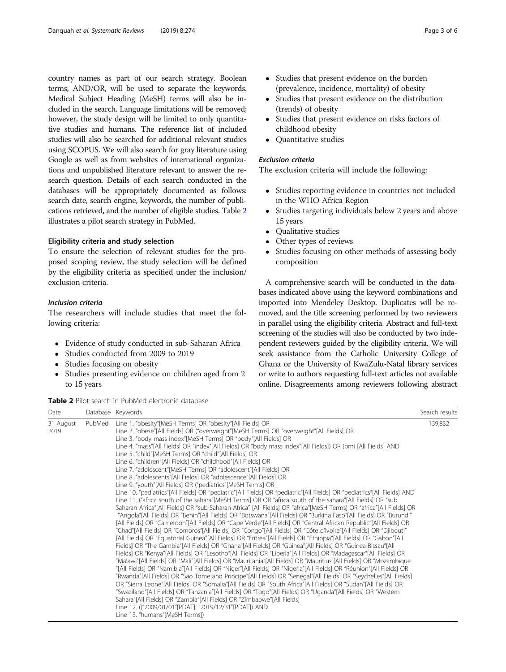country names as part of our search strategy. Boolean terms, AND/OR, will be used to separate the keywords. Medical Subject Heading (MeSH) terms will also be included in the search. Language limitations will be removed; however, the study design will be limited to only quantitative studies and humans. The reference list of included studies will also be searched for additional relevant studies using SCOPUS. We will also search for gray literature using Google as well as from websites of international organizations and unpublished literature relevant to answer the research question. Details of each search conducted in the databases will be appropriately documented as follows: search date, search engine, keywords, the number of publications retrieved, and the number of eligible studies. Table 2 illustrates a pilot search strategy in PubMed.

#### Eligibility criteria and study selection

To ensure the selection of relevant studies for the proposed scoping review, the study selection will be defined by the eligibility criteria as specified under the inclusion/ exclusion criteria.

### Inclusion criteria

The researchers will include studies that meet the following criteria:

- Evidence of study conducted in sub-Saharan Africa
- Studies conducted from 2009 to 2019
- Studies focusing on obesity
- Studies presenting evidence on children aged from 2 to 15 years
- Studies that present evidence on the burden (prevalence, incidence, mortality) of obesity
- Studies that present evidence on the distribution (trends) of obesity
- Studies that present evidence on risks factors of childhood obesity
- Quantitative studies

#### Exclusion criteria

The exclusion criteria will include the following:

- Studies reporting evidence in countries not included in the WHO Africa Region
- Studies targeting individuals below 2 years and above 15 years
- Qualitative studies
- Other types of reviews
- Studies focusing on other methods of assessing body composition

A comprehensive search will be conducted in the databases indicated above using the keyword combinations and imported into Mendeley Desktop. Duplicates will be removed, and the title screening performed by two reviewers in parallel using the eligibility criteria. Abstract and full-text screening of the studies will also be conducted by two independent reviewers guided by the eligibility criteria. We will seek assistance from the Catholic University College of Ghana or the University of KwaZulu-Natal library services or write to authors requesting full-text articles not available online. Disagreements among reviewers following abstract

|  | <b>Table 2</b> Pilot search in PubMed electronic database |
|--|-----------------------------------------------------------|
|  |                                                           |

| Date              |        | Database Keywords                                                                                                                                                                                                                                                                                                                                                                                                                                                                                                                                                                                                                                                                                                                                                                                                                                                                                                                                                                                                                                                                                                                                                                                                                                                                                                                                                                                                                                                                                                                                                                                                                                                                                                                                                                                                                                                                                                                                                                                                                                                                                                                                                                                                                                                                                                                                                                                                                                                                                                        | Search results |
|-------------------|--------|--------------------------------------------------------------------------------------------------------------------------------------------------------------------------------------------------------------------------------------------------------------------------------------------------------------------------------------------------------------------------------------------------------------------------------------------------------------------------------------------------------------------------------------------------------------------------------------------------------------------------------------------------------------------------------------------------------------------------------------------------------------------------------------------------------------------------------------------------------------------------------------------------------------------------------------------------------------------------------------------------------------------------------------------------------------------------------------------------------------------------------------------------------------------------------------------------------------------------------------------------------------------------------------------------------------------------------------------------------------------------------------------------------------------------------------------------------------------------------------------------------------------------------------------------------------------------------------------------------------------------------------------------------------------------------------------------------------------------------------------------------------------------------------------------------------------------------------------------------------------------------------------------------------------------------------------------------------------------------------------------------------------------------------------------------------------------------------------------------------------------------------------------------------------------------------------------------------------------------------------------------------------------------------------------------------------------------------------------------------------------------------------------------------------------------------------------------------------------------------------------------------------------|----------------|
| 31 August<br>2019 | PubMed | Line 1. "obesity"[MeSH Terms] OR "obesity"[All Fields] OR<br>Line 2. "obese"[All Fields] OR ("overweight"[MeSH Terms] OR "overweight"[All Fields] OR<br>Line 3. "body mass index"[MeSH Terms] OR "body"[All Fields] OR<br>Line 4. "mass"[All Fields] OR "index"[All Fields] OR "body mass index"[All Fields]) OR (bmi [All Fields] AND<br>Line 5. "child"[MeSH Terms] OR "child"[All Fields] OR<br>Line 6. "children"[All Fields] OR "childhood"[All Fields] OR<br>Line 7. "adolescent"[MeSH Terms] OR "adolescent"[All Fields] OR<br>Line 8. "adolescents"[All Fields] OR "adolescence"[All Fields] OR<br>Line 9. "youth"[All Fields] OR ("pediatrics"[MeSH Terms] OR<br>Line 10. "pediatrics"[All Fields] OR "pediatric"[All Fields] OR "pediatric"[All Fields] OR "pediatrics"[All Fields] AND<br>Line 11. ("africa south of the sahara"[MeSH Terms] OR OR "africa south of the sahara"[All Fields] OR "sub<br>Saharan Africa"[All Fields] OR "sub-Saharan Africa" [All Fields] OR "africa"[MeSH Terms] OR "africa"[All Fields] OR<br>"Angola"[All Fields] OR "Benin"[All Fields] OR "Botswana"[All Fields] OR "Burkina Faso"[All Fields] OR "Burundi"<br>[All Fields] OR "Cameroon"[All Fields] OR "Cape Verde"[All Fields] OR "Central African Republic"[All Fields] OR<br>"Chad"[All Fields] OR "Comoros"[All Fields] OR "Congo"[All Fields] OR "Côte d'Ivoire"[All Fields] OR "Djibouti"<br>[All Fields] OR "Equatorial Guinea"[All Fields] OR "Eritrea"[All Fields] OR "Ethiopia"[All Fields] OR "Gabon"[All<br>Fields] OR "The Gambia"[All Fields] OR "Ghana"[All Fields] OR "Guinea"[All Fields] OR "Guinea-Bissau"[All<br>Fields] OR "Kenya"[All Fields] OR "Lesotho"[All Fields] OR "Liberia"[All Fields] OR "Madagascar"[All Fields] OR<br>"Malawi"[All Fields] OR "Mali"[All Fields] OR "Mauritania"[All Fields] OR "Mauritius"[All Fields] OR "Mozambique<br>"[All Fields] OR "Namibia"[All Fields] OR "Niger"[All Fields] OR "Nigeria"[All Fields] OR "Réunion"[All Fields] OR<br>"Rwanda"[All Fields] OR "Sao Tome and Principe"[All Fields] OR "Senegal"[All Fields] OR "Seychelles"[All Fields]<br>OR "Sierra Leone"[All Fields] OR "Somalia"[All Fields] OR "South Africa"[All Fields] OR "Sudan"[All Fields] OR<br>"Swaziland"[All Fields] OR "Tanzania"[All Fields] OR "Togo"[All Fields] OR "Uganda"[All Fields] OR "Western<br>Sahara"[All Fields] OR "Zambia"[All Fields] OR "Zimbabwe"[All Fields]<br>Line 12. (("2009/01/01"[PDAT]: "2019/12/31"[PDAT]) AND<br>Line 13. "humans"[MeSH Terms]) | 139,832        |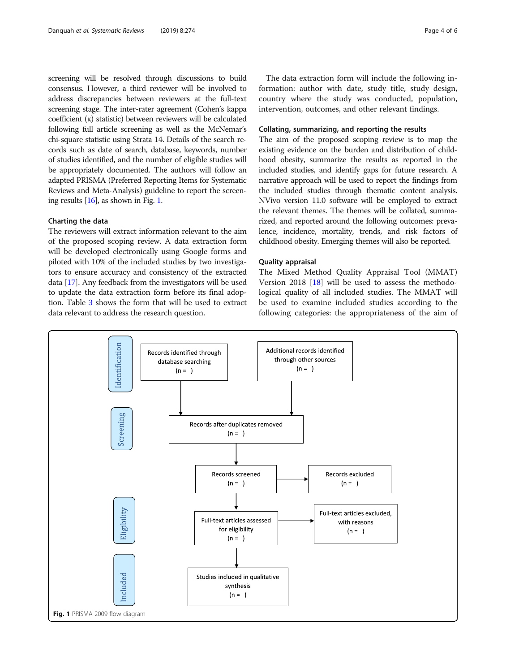screening will be resolved through discussions to build consensus. However, a third reviewer will be involved to address discrepancies between reviewers at the full-text screening stage. The inter-rater agreement (Cohen's kappa coefficient (κ) statistic) between reviewers will be calculated following full article screening as well as the McNemar's chi-square statistic using Strata 14. Details of the search records such as date of search, database, keywords, number of studies identified, and the number of eligible studies will be appropriately documented. The authors will follow an adapted PRISMA (Preferred Reporting Items for Systematic Reviews and Meta-Analysis) guideline to report the screening results  $[16]$ , as shown in Fig. 1.

#### Charting the data

The reviewers will extract information relevant to the aim of the proposed scoping review. A data extraction form will be developed electronically using Google forms and piloted with 10% of the included studies by two investigators to ensure accuracy and consistency of the extracted data [\[17\]](#page-5-0). Any feedback from the investigators will be used to update the data extraction form before its final adoption. Table [3](#page-4-0) shows the form that will be used to extract data relevant to address the research question.

The data extraction form will include the following information: author with date, study title, study design, country where the study was conducted, population, intervention, outcomes, and other relevant findings.

#### Collating, summarizing, and reporting the results

The aim of the proposed scoping review is to map the existing evidence on the burden and distribution of childhood obesity, summarize the results as reported in the included studies, and identify gaps for future research. A narrative approach will be used to report the findings from the included studies through thematic content analysis. NVivo version 11.0 software will be employed to extract the relevant themes. The themes will be collated, summarized, and reported around the following outcomes: prevalence, incidence, mortality, trends, and risk factors of childhood obesity. Emerging themes will also be reported.

#### Quality appraisal

The Mixed Method Quality Appraisal Tool (MMAT) Version 2018 [[18\]](#page-5-0) will be used to assess the methodological quality of all included studies. The MMAT will be used to examine included studies according to the following categories: the appropriateness of the aim of

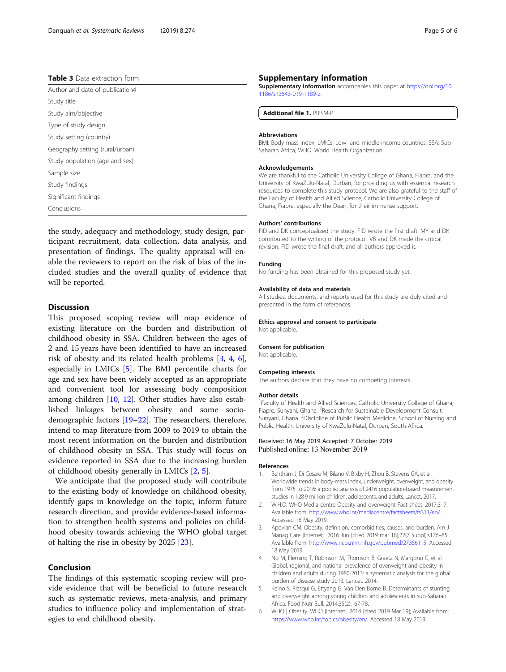#### <span id="page-4-0"></span>Table 3 Data extraction form

Author and date of publication4 Study title Study aim/objective Type of study design Study setting (country) Geography setting (rural/urban) Study population (age and sex) Sample size Study findings Significant findings Conclusions

the study, adequacy and methodology, study design, participant recruitment, data collection, data analysis, and presentation of findings. The quality appraisal will enable the reviewers to report on the risk of bias of the included studies and the overall quality of evidence that will be reported.

#### **Discussion**

This proposed scoping review will map evidence of existing literature on the burden and distribution of childhood obesity in SSA. Children between the ages of 2 and 15 years have been identified to have an increased risk of obesity and its related health problems [3, 4, 6], especially in LMICs [5]. The BMI percentile charts for age and sex have been widely accepted as an appropriate and convenient tool for assessing body composition among children [[10,](#page-5-0) [12\]](#page-5-0). Other studies have also established linkages between obesity and some sociodemographic factors [[19](#page-5-0)–[22](#page-5-0)]. The researchers, therefore, intend to map literature from 2009 to 2019 to obtain the most recent information on the burden and distribution of childhood obesity in SSA. This study will focus on evidence reported in SSA due to the increasing burden of childhood obesity generally in LMICs [2, 5].

We anticipate that the proposed study will contribute to the existing body of knowledge on childhood obesity, identify gaps in knowledge on the topic, inform future research direction, and provide evidence-based information to strengthen health systems and policies on childhood obesity towards achieving the WHO global target of halting the rise in obesity by 2025 [\[23](#page-5-0)].

#### Conclusion

The findings of this systematic scoping review will provide evidence that will be beneficial to future research such as systematic reviews, meta-analysis, and primary studies to influence policy and implementation of strategies to end childhood obesity.

#### Supplementary information

Supplementary information accompanies this paper at [https://doi.org/10.](https://doi.org/10.1186/s13643-019-1189-z) [1186/s13643-019-1189-z](https://doi.org/10.1186/s13643-019-1189-z).

Additional file 1. PRISM-P

#### Abbreviations

BMI: Body mass index; LMICs: Low- and middle-income countries; SSA: Sub-Saharan Africa; WHO: World Health Organization

#### Acknowledgements

We are thankful to the Catholic University College of Ghana, Fiapre, and the University of KwaZulu-Natal, Durban, for providing us with essential research resources to complete this study protocol. We are also grateful to the staff of the Faculty of Health and Allied Science, Catholic University College of Ghana, Fiapre, especially the Dean, for their immense support.

#### Authors' contributions

FID and DK conceptualized the study. FID wrote the first draft. MY and DK contributed to the writing of the protocol. VB and DK made the critical revision. FID wrote the final draft, and all authors approved it.

#### Funding

No funding has been obtained for this proposed study yet.

#### Availability of data and materials

All studies, documents, and reports used for this study are duly cited and presented in the form of references.

#### Ethics approval and consent to participate

Not applicable.

#### Consent for publication

Not applicable.

#### Competing interests

The authors declare that they have no competing interests.

#### Author details

<sup>1</sup> Faculty of Health and Allied Sciences, Catholic University College of Ghana, Fiapre, Sunyani, Ghana. <sup>2</sup> Research for Sustainable Development Consult, Sunyani, Ghana. <sup>3</sup>Discipline of Public Health Medicine, School of Nursing and Public Health, University of KwaZulu-Natal, Durban, South Africa.

#### Received: 16 May 2019 Accepted: 7 October 2019 Published online: 13 November 2019

#### References

- 1. Bentham J, Di Cesare M, Bilano V, Bixby H, Zhou B, Stevens GA, et al. Worldwide trends in body-mass index, underweight, overweight, and obesity from 1975 to 2016: a pooled analysis of 2416 population-based measurement studies in 128·9 million children, adolescents, and adults. Lancet. 2017.
- 2. W.H.O. WHO Media centre Obesity and overweight Fact sheet. 2017;3–7. Available from: <http://www.who.int/mediacentre/factsheets/fs311/en/>. Accessed 18 May 2019.
- 3. Apovian CM. Obesity: definition, comorbidities, causes, and burden. Am J Manag Care [Internet]. 2016 Jun [cited 2019 mar 18];22(7 Suppl):s176–85. Available from: <http://www.ncbi.nlm.nih.gov/pubmed/27356115>. Accessed 18 May 2019.
- 4. Ng M, Fleming T, Robinson M, Thomson B, Graetz N, Margono C, et al. Global, regional, and national prevalence of overweight and obesity in children and adults during 1980-2013: a systematic analysis for the global burden of disease study 2013. Lancet. 2014.
- 5. Keino S, Plasqui G, Ettyang G, Van Den Borne B. Determinants of stunting and overweight among young children and adolescents in sub-Saharan Africa. Food Nutr Bull. 2014;35(2):167-78.
- 6. WHO | Obesity. WHO [Internet]. 2014 [cited 2019 Mar 19]; Available from: [https://www.who.int/topics/obesity/en/.](https://www.who.int/topics/obesity/en/) Accessed 18 May 2019.